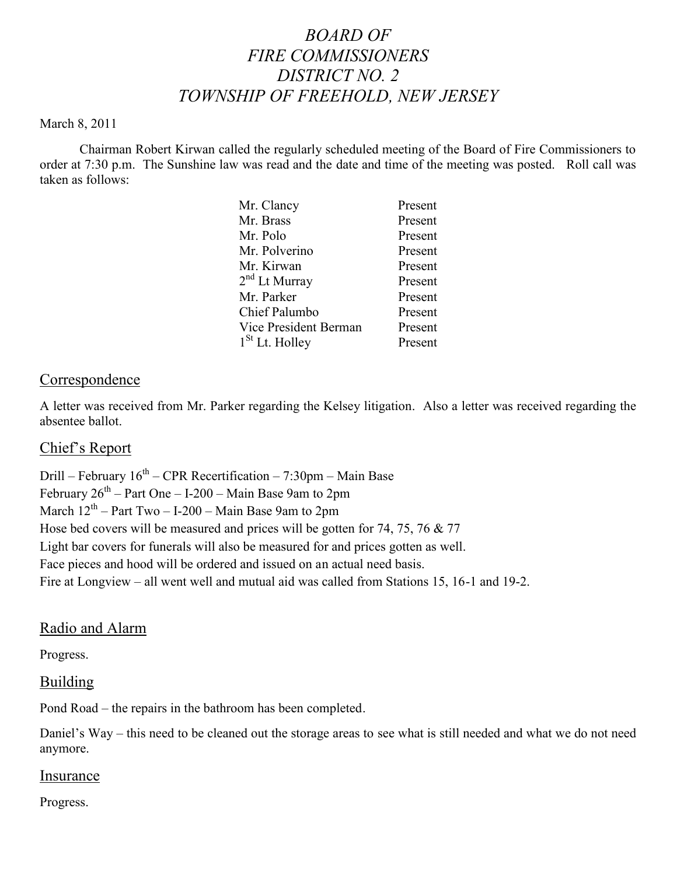# *BOARD OF FIRE COMMISSIONERS DISTRICT NO. 2 TOWNSHIP OF FREEHOLD, NEW JERSEY*

#### March 8, 2011

Chairman Robert Kirwan called the regularly scheduled meeting of the Board of Fire Commissioners to order at 7:30 p.m. The Sunshine law was read and the date and time of the meeting was posted. Roll call was taken as follows:

| Mr. Clancy                 | Present |
|----------------------------|---------|
| Mr. Brass                  | Present |
| Mr. Polo                   | Present |
| Mr. Polverino              | Present |
| Mr. Kirwan                 | Present |
| $2nd$ Lt Murray            | Present |
| Mr. Parker                 | Present |
| Chief Palumbo              | Present |
| Vice President Berman      | Present |
| 1 <sup>St</sup> Lt. Holley | Present |
|                            |         |

#### Correspondence

A letter was received from Mr. Parker regarding the Kelsey litigation. Also a letter was received regarding the absentee ballot.

#### Chief's Report

Drill – February  $16^{th}$  – CPR Recertification – 7:30pm – Main Base February  $26^{th}$  – Part One – I-200 – Main Base 9am to 2pm March  $12^{th}$  – Part Two – I-200 – Main Base 9am to 2pm Hose bed covers will be measured and prices will be gotten for 74, 75, 76 & 77 Light bar covers for funerals will also be measured for and prices gotten as well. Face pieces and hood will be ordered and issued on an actual need basis. Fire at Longview – all went well and mutual aid was called from Stations 15, 16-1 and 19-2.

#### Radio and Alarm

Progress.

#### Building

Pond Road – the repairs in the bathroom has been completed.

Daniel's Way – this need to be cleaned out the storage areas to see what is still needed and what we do not need anymore.

#### Insurance

Progress.